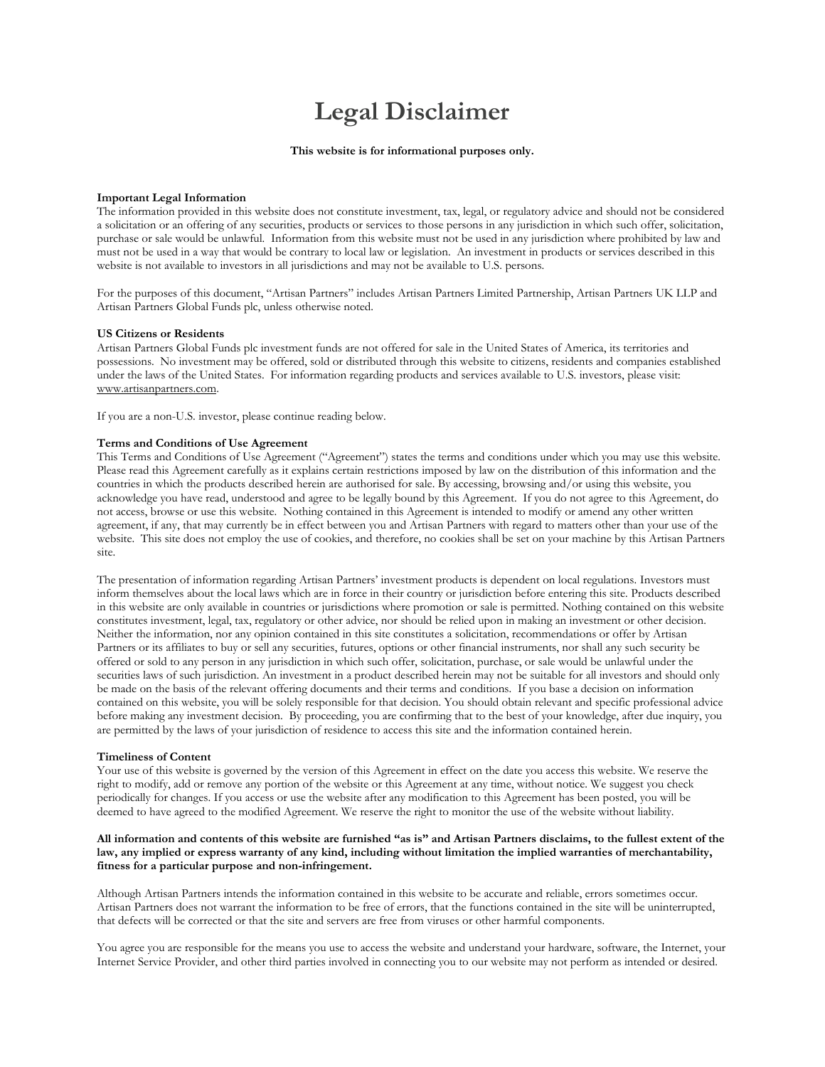# **Legal Disclaimer**

## **This website is for informational purposes only.**

## **Important Legal Information**

The information provided in this website does not constitute investment, tax, legal, or regulatory advice and should not be considered a solicitation or an offering of any securities, products or services to those persons in any jurisdiction in which such offer, solicitation, purchase or sale would be unlawful. Information from this website must not be used in any jurisdiction where prohibited by law and must not be used in a way that would be contrary to local law or legislation. An investment in products or services described in this website is not available to investors in all jurisdictions and may not be available to U.S. persons.

For the purposes of this document, "Artisan Partners" includes Artisan Partners Limited Partnership, Artisan Partners UK LLP and Artisan Partners Global Funds plc, unless otherwise noted.

### **US Citizens or Residents**

Artisan Partners Global Funds plc investment funds are not offered for sale in the United States of America, its territories and possessions. No investment may be offered, sold or distributed through this website to citizens, residents and companies established under the laws of the United States. For information regarding products and services available to U.S. investors, please visit: www.artisanpartners.com.

If you are a non-U.S. investor, please continue reading below.

## **Terms and Conditions of Use Agreement**

This Terms and Conditions of Use Agreement ("Agreement") states the terms and conditions under which you may use this website. Please read this Agreement carefully as it explains certain restrictions imposed by law on the distribution of this information and the countries in which the products described herein are authorised for sale. By accessing, browsing and/or using this website, you acknowledge you have read, understood and agree to be legally bound by this Agreement. If you do not agree to this Agreement, do not access, browse or use this website. Nothing contained in this Agreement is intended to modify or amend any other written agreement, if any, that may currently be in effect between you and Artisan Partners with regard to matters other than your use of the website. This site does not employ the use of cookies, and therefore, no cookies shall be set on your machine by this Artisan Partners site.

The presentation of information regarding Artisan Partners' investment products is dependent on local regulations. Investors must inform themselves about the local laws which are in force in their country or jurisdiction before entering this site. Products described in this website are only available in countries or jurisdictions where promotion or sale is permitted. Nothing contained on this website constitutes investment, legal, tax, regulatory or other advice, nor should be relied upon in making an investment or other decision. Neither the information, nor any opinion contained in this site constitutes a solicitation, recommendations or offer by Artisan Partners or its affiliates to buy or sell any securities, futures, options or other financial instruments, nor shall any such security be offered or sold to any person in any jurisdiction in which such offer, solicitation, purchase, or sale would be unlawful under the securities laws of such jurisdiction. An investment in a product described herein may not be suitable for all investors and should only be made on the basis of the relevant offering documents and their terms and conditions. If you base a decision on information contained on this website, you will be solely responsible for that decision. You should obtain relevant and specific professional advice before making any investment decision. By proceeding, you are confirming that to the best of your knowledge, after due inquiry, you are permitted by the laws of your jurisdiction of residence to access this site and the information contained herein.

### **Timeliness of Content**

Your use of this website is governed by the version of this Agreement in effect on the date you access this website. We reserve the right to modify, add or remove any portion of the website or this Agreement at any time, without notice. We suggest you check periodically for changes. If you access or use the website after any modification to this Agreement has been posted, you will be deemed to have agreed to the modified Agreement. We reserve the right to monitor the use of the website without liability.

# **All information and contents of this website are furnished "as is" and Artisan Partners disclaims, to the fullest extent of the law, any implied or express warranty of any kind, including without limitation the implied warranties of merchantability, fitness for a particular purpose and non-infringement.**

Although Artisan Partners intends the information contained in this website to be accurate and reliable, errors sometimes occur. Artisan Partners does not warrant the information to be free of errors, that the functions contained in the site will be uninterrupted, that defects will be corrected or that the site and servers are free from viruses or other harmful components.

You agree you are responsible for the means you use to access the website and understand your hardware, software, the Internet, your Internet Service Provider, and other third parties involved in connecting you to our website may not perform as intended or desired.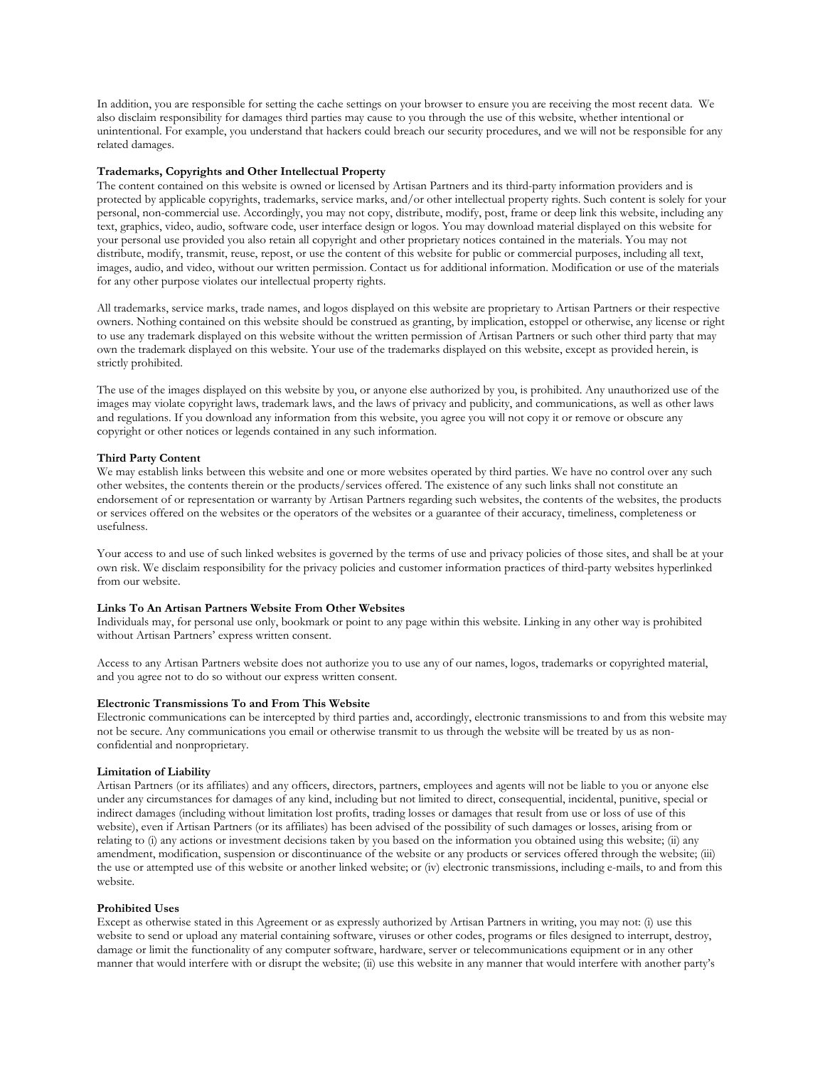In addition, you are responsible for setting the cache settings on your browser to ensure you are receiving the most recent data. We also disclaim responsibility for damages third parties may cause to you through the use of this website, whether intentional or unintentional. For example, you understand that hackers could breach our security procedures, and we will not be responsible for any related damages.

# **Trademarks, Copyrights and Other Intellectual Property**

The content contained on this website is owned or licensed by Artisan Partners and its third-party information providers and is protected by applicable copyrights, trademarks, service marks, and/or other intellectual property rights. Such content is solely for your personal, non-commercial use. Accordingly, you may not copy, distribute, modify, post, frame or deep link this website, including any text, graphics, video, audio, software code, user interface design or logos. You may download material displayed on this website for your personal use provided you also retain all copyright and other proprietary notices contained in the materials. You may not distribute, modify, transmit, reuse, repost, or use the content of this website for public or commercial purposes, including all text, images, audio, and video, without our written permission. Contact us for additional information. Modification or use of the materials for any other purpose violates our intellectual property rights.

All trademarks, service marks, trade names, and logos displayed on this website are proprietary to Artisan Partners or their respective owners. Nothing contained on this website should be construed as granting, by implication, estoppel or otherwise, any license or right to use any trademark displayed on this website without the written permission of Artisan Partners or such other third party that may own the trademark displayed on this website. Your use of the trademarks displayed on this website, except as provided herein, is strictly prohibited.

The use of the images displayed on this website by you, or anyone else authorized by you, is prohibited. Any unauthorized use of the images may violate copyright laws, trademark laws, and the laws of privacy and publicity, and communications, as well as other laws and regulations. If you download any information from this website, you agree you will not copy it or remove or obscure any copyright or other notices or legends contained in any such information.

## **Third Party Content**

We may establish links between this website and one or more websites operated by third parties. We have no control over any such other websites, the contents therein or the products/services offered. The existence of any such links shall not constitute an endorsement of or representation or warranty by Artisan Partners regarding such websites, the contents of the websites, the products or services offered on the websites or the operators of the websites or a guarantee of their accuracy, timeliness, completeness or usefulness.

Your access to and use of such linked websites is governed by the terms of use and privacy policies of those sites, and shall be at your own risk. We disclaim responsibility for the privacy policies and customer information practices of third-party websites hyperlinked from our website.

# **Links To An Artisan Partners Website From Other Websites**

Individuals may, for personal use only, bookmark or point to any page within this website. Linking in any other way is prohibited without Artisan Partners' express written consent.

Access to any Artisan Partners website does not authorize you to use any of our names, logos, trademarks or copyrighted material, and you agree not to do so without our express written consent.

## **Electronic Transmissions To and From This Website**

Electronic communications can be intercepted by third parties and, accordingly, electronic transmissions to and from this website may not be secure. Any communications you email or otherwise transmit to us through the website will be treated by us as nonconfidential and nonproprietary.

### **Limitation of Liability**

Artisan Partners (or its affiliates) and any officers, directors, partners, employees and agents will not be liable to you or anyone else under any circumstances for damages of any kind, including but not limited to direct, consequential, incidental, punitive, special or indirect damages (including without limitation lost profits, trading losses or damages that result from use or loss of use of this website), even if Artisan Partners (or its affiliates) has been advised of the possibility of such damages or losses, arising from or relating to (i) any actions or investment decisions taken by you based on the information you obtained using this website; (ii) any amendment, modification, suspension or discontinuance of the website or any products or services offered through the website; (iii) the use or attempted use of this website or another linked website; or (iv) electronic transmissions, including e-mails, to and from this website.

## **Prohibited Uses**

Except as otherwise stated in this Agreement or as expressly authorized by Artisan Partners in writing, you may not: (i) use this website to send or upload any material containing software, viruses or other codes, programs or files designed to interrupt, destroy, damage or limit the functionality of any computer software, hardware, server or telecommunications equipment or in any other manner that would interfere with or disrupt the website; (ii) use this website in any manner that would interfere with another party's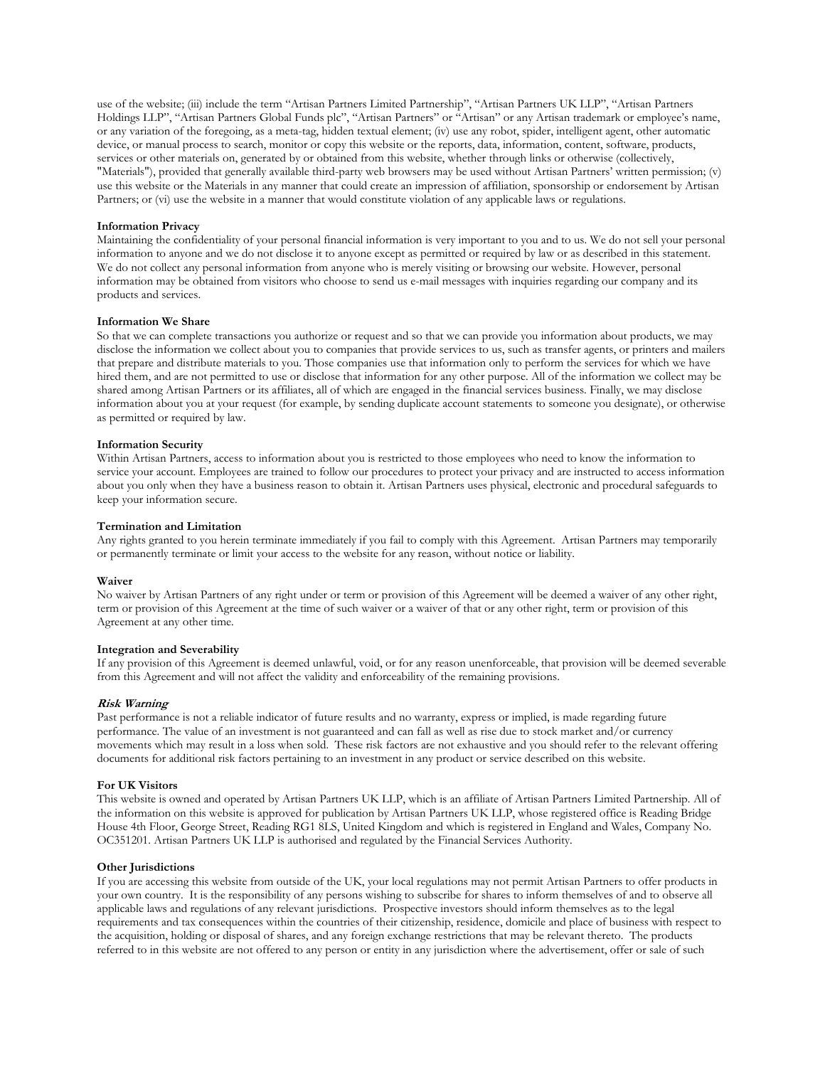use of the website; (iii) include the term "Artisan Partners Limited Partnership", "Artisan Partners UK LLP", "Artisan Partners Holdings LLP", "Artisan Partners Global Funds plc", "Artisan Partners" or "Artisan" or any Artisan trademark or employee's name, or any variation of the foregoing, as a meta-tag, hidden textual element; (iv) use any robot, spider, intelligent agent, other automatic device, or manual process to search, monitor or copy this website or the reports, data, information, content, software, products, services or other materials on, generated by or obtained from this website, whether through links or otherwise (collectively, "Materials"), provided that generally available third-party web browsers may be used without Artisan Partners' written permission; (v) use this website or the Materials in any manner that could create an impression of affiliation, sponsorship or endorsement by Artisan Partners; or (vi) use the website in a manner that would constitute violation of any applicable laws or regulations.

## **Information Privacy**

Maintaining the confidentiality of your personal financial information is very important to you and to us. We do not sell your personal information to anyone and we do not disclose it to anyone except as permitted or required by law or as described in this statement. We do not collect any personal information from anyone who is merely visiting or browsing our website. However, personal information may be obtained from visitors who choose to send us e-mail messages with inquiries regarding our company and its products and services.

### **Information We Share**

So that we can complete transactions you authorize or request and so that we can provide you information about products, we may disclose the information we collect about you to companies that provide services to us, such as transfer agents, or printers and mailers that prepare and distribute materials to you. Those companies use that information only to perform the services for which we have hired them, and are not permitted to use or disclose that information for any other purpose. All of the information we collect may be shared among Artisan Partners or its affiliates, all of which are engaged in the financial services business. Finally, we may disclose information about you at your request (for example, by sending duplicate account statements to someone you designate), or otherwise as permitted or required by law.

# **Information Security**

Within Artisan Partners, access to information about you is restricted to those employees who need to know the information to service your account. Employees are trained to follow our procedures to protect your privacy and are instructed to access information about you only when they have a business reason to obtain it. Artisan Partners uses physical, electronic and procedural safeguards to keep your information secure.

# **Termination and Limitation**

Any rights granted to you herein terminate immediately if you fail to comply with this Agreement. Artisan Partners may temporarily or permanently terminate or limit your access to the website for any reason, without notice or liability.

### **Waiver**

No waiver by Artisan Partners of any right under or term or provision of this Agreement will be deemed a waiver of any other right, term or provision of this Agreement at the time of such waiver or a waiver of that or any other right, term or provision of this Agreement at any other time.

# **Integration and Severability**

If any provision of this Agreement is deemed unlawful, void, or for any reason unenforceable, that provision will be deemed severable from this Agreement and will not affect the validity and enforceability of the remaining provisions.

### **Risk Warning**

Past performance is not a reliable indicator of future results and no warranty, express or implied, is made regarding future performance. The value of an investment is not guaranteed and can fall as well as rise due to stock market and/or currency movements which may result in a loss when sold. These risk factors are not exhaustive and you should refer to the relevant offering documents for additional risk factors pertaining to an investment in any product or service described on this website.

### **For UK Visitors**

This website is owned and operated by Artisan Partners UK LLP, which is an affiliate of Artisan Partners Limited Partnership. All of the information on this website is approved for publication by Artisan Partners UK LLP, whose registered office is Reading Bridge House 4th Floor, George Street, Reading RG1 8LS, United Kingdom and which is registered in England and Wales, Company No. OC351201. Artisan Partners UK LLP is authorised and regulated by the Financial Services Authority.

### **Other Jurisdictions**

If you are accessing this website from outside of the UK, your local regulations may not permit Artisan Partners to offer products in your own country. It is the responsibility of any persons wishing to subscribe for shares to inform themselves of and to observe all applicable laws and regulations of any relevant jurisdictions. Prospective investors should inform themselves as to the legal requirements and tax consequences within the countries of their citizenship, residence, domicile and place of business with respect to the acquisition, holding or disposal of shares, and any foreign exchange restrictions that may be relevant thereto. The products referred to in this website are not offered to any person or entity in any jurisdiction where the advertisement, offer or sale of such